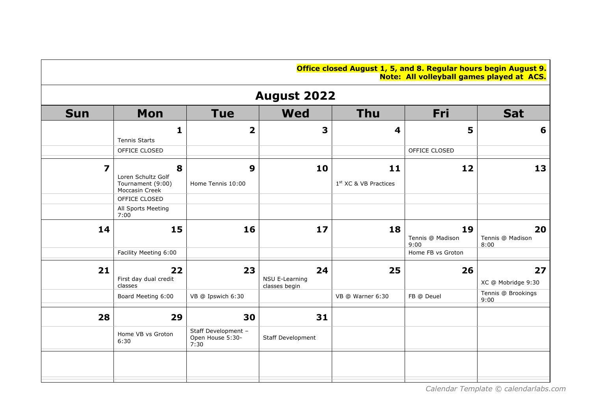| <b>Office closed August 1, 5, and 8. Regular hours begin August 9.</b> |                                           |  |  |
|------------------------------------------------------------------------|-------------------------------------------|--|--|
|                                                                        | Note: All volleyball games played at ACS. |  |  |

| <b>August 2022</b>      |                                                                |                                                 |                                       |                                         |                                |                                                |  |  |
|-------------------------|----------------------------------------------------------------|-------------------------------------------------|---------------------------------------|-----------------------------------------|--------------------------------|------------------------------------------------|--|--|
| <b>Sun</b>              | Mon                                                            | <b>Tue</b>                                      | <b>Wed</b>                            | <b>Thu</b>                              | Fri                            | <b>Sat</b>                                     |  |  |
|                         | 1<br><b>Tennis Starts</b>                                      | $\overline{\mathbf{2}}$                         | 3                                     | 4                                       | 5                              | 6                                              |  |  |
|                         | OFFICE CLOSED                                                  |                                                 |                                       |                                         | OFFICE CLOSED                  |                                                |  |  |
| $\overline{\mathbf{z}}$ | 8<br>Loren Schultz Golf<br>Tournament (9:00)<br>Moccasin Creek | 9<br>Home Tennis 10:00                          | 10                                    | 11<br>1 <sup>st</sup> XC & VB Practices | 12                             | 13                                             |  |  |
|                         | OFFICE CLOSED<br>All Sports Meeting<br>7:00                    |                                                 |                                       |                                         |                                |                                                |  |  |
| 14                      | 15                                                             | 16                                              | 17                                    | 18                                      | 19<br>Tennis @ Madison<br>9:00 | 20<br>Tennis @ Madison<br>8:00                 |  |  |
|                         | Facility Meeting 6:00                                          |                                                 |                                       |                                         | Home FB vs Groton              |                                                |  |  |
| 21                      | 22<br>First day dual credit<br>classes<br>Board Meeting 6:00   | 23<br>VB @ Ipswich 6:30                         | 24<br>NSU E-Learning<br>classes begin | 25<br>VB @ Warner 6:30                  | 26<br>FB @ Deuel               | 27<br>XC @ Mobridge 9:30<br>Tennis @ Brookings |  |  |
|                         |                                                                |                                                 |                                       |                                         |                                | 9:00                                           |  |  |
| 28                      | 29                                                             | 30                                              | 31                                    |                                         |                                |                                                |  |  |
|                         | Home VB vs Groton<br>6:30                                      | Staff Development -<br>Open House 5:30-<br>7:30 | Staff Development                     |                                         |                                |                                                |  |  |
|                         |                                                                |                                                 |                                       |                                         |                                |                                                |  |  |
|                         |                                                                |                                                 |                                       |                                         |                                |                                                |  |  |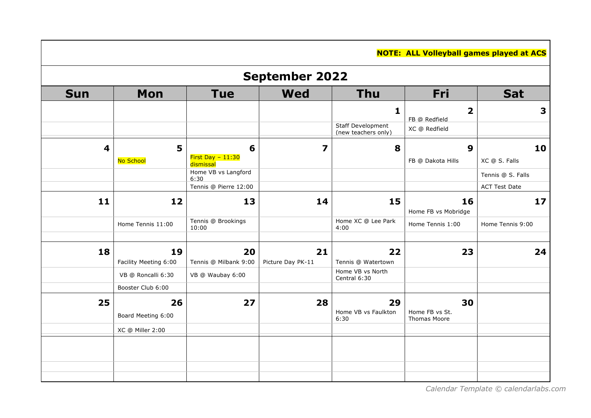|                         |                       |                                 |                   |                                                 | <b>NOTE: ALL Volleyball games played at ACS</b> |                      |  |  |  |  |
|-------------------------|-----------------------|---------------------------------|-------------------|-------------------------------------------------|-------------------------------------------------|----------------------|--|--|--|--|
|                         | <b>September 2022</b> |                                 |                   |                                                 |                                                 |                      |  |  |  |  |
| <b>Sun</b>              | Mon                   | <b>Tue</b>                      | <b>Wed</b>        | <b>Thu</b>                                      | Fri                                             | <b>Sat</b>           |  |  |  |  |
|                         |                       |                                 |                   | 1                                               | $\overline{\mathbf{2}}$                         | 3                    |  |  |  |  |
|                         |                       |                                 |                   | <b>Staff Development</b><br>(new teachers only) | FB @ Redfield<br>XC @ Redfield                  |                      |  |  |  |  |
| $\overline{\mathbf{4}}$ | 5                     | 6                               | 7                 | 8                                               | 9                                               | 10                   |  |  |  |  |
|                         | No School             | First Day $-11:30$<br>dismissal |                   |                                                 | FB @ Dakota Hills                               | XC @ S. Falls        |  |  |  |  |
|                         |                       | Home VB vs Langford<br>6:30     |                   |                                                 |                                                 | Tennis @ S. Falls    |  |  |  |  |
|                         |                       | Tennis @ Pierre 12:00           |                   |                                                 |                                                 | <b>ACT Test Date</b> |  |  |  |  |
| 11                      | 12                    | 13                              | 14                | 15                                              | 16                                              | 17                   |  |  |  |  |
|                         |                       | Tennis @ Brookings              |                   | Home XC @ Lee Park                              | Home FB vs Mobridge                             |                      |  |  |  |  |
|                         | Home Tennis 11:00     | 10:00                           |                   | 4:00                                            | Home Tennis 1:00                                | Home Tennis 9:00     |  |  |  |  |
| 18                      | 19                    | 20                              | 21                | 22                                              | 23                                              | 24                   |  |  |  |  |
|                         | Facility Meeting 6:00 | Tennis @ Milbank 9:00           | Picture Day PK-11 | Tennis @ Watertown                              |                                                 |                      |  |  |  |  |
|                         | VB @ Roncalli 6:30    | VB @ Waubay 6:00                |                   | Home VB vs North<br>Central 6:30                |                                                 |                      |  |  |  |  |
|                         | Booster Club 6:00     |                                 |                   |                                                 |                                                 |                      |  |  |  |  |
| 25                      | 26                    | 27                              | 28                | 29                                              | 30                                              |                      |  |  |  |  |
|                         | Board Meeting 6:00    |                                 |                   | Home VB vs Faulkton<br>6:30                     | Home FB vs St.<br>Thomas Moore                  |                      |  |  |  |  |
|                         | XC @ Miller 2:00      |                                 |                   |                                                 |                                                 |                      |  |  |  |  |
|                         |                       |                                 |                   |                                                 |                                                 |                      |  |  |  |  |
|                         |                       |                                 |                   |                                                 |                                                 |                      |  |  |  |  |
|                         |                       |                                 |                   |                                                 |                                                 |                      |  |  |  |  |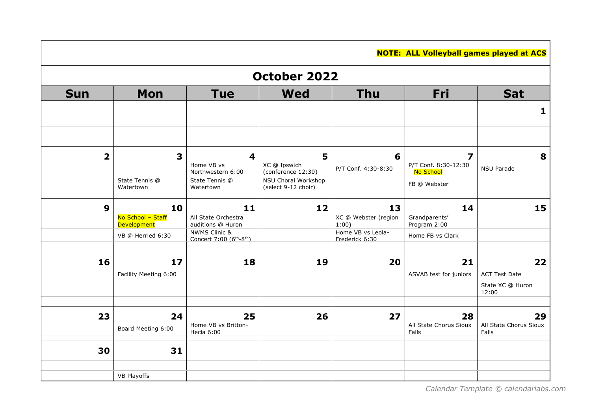|                         | <b>NOTE: ALL Volleyball games played at ACS</b> |                                                                              |                                            |                                     |                                     |                                 |  |  |  |  |
|-------------------------|-------------------------------------------------|------------------------------------------------------------------------------|--------------------------------------------|-------------------------------------|-------------------------------------|---------------------------------|--|--|--|--|
|                         | October 2022                                    |                                                                              |                                            |                                     |                                     |                                 |  |  |  |  |
| <b>Sun</b>              | <b>Mon</b>                                      | <b>Tue</b>                                                                   | <b>Wed</b>                                 | <b>Thu</b>                          | Fri                                 | <b>Sat</b>                      |  |  |  |  |
|                         |                                                 |                                                                              |                                            |                                     |                                     | $\mathbf{1}$                    |  |  |  |  |
|                         |                                                 |                                                                              |                                            |                                     |                                     |                                 |  |  |  |  |
| $\overline{\mathbf{2}}$ | 3                                               | $\overline{\mathbf{4}}$                                                      | 5                                          | 6                                   | 7                                   | 8                               |  |  |  |  |
|                         |                                                 | Home VB vs<br>Northwestern 6:00                                              | XC @ Ipswich<br>(conference 12:30)         | P/T Conf. 4:30-8:30                 | P/T Conf. 8:30-12:30<br>- No School | <b>NSU Parade</b>               |  |  |  |  |
|                         | State Tennis @<br>Watertown                     | State Tennis @<br>Watertown                                                  | NSU Choral Workshop<br>(select 9-12 choir) |                                     | FB @ Webster                        |                                 |  |  |  |  |
| $\boldsymbol{9}$        | 10                                              | 11                                                                           | 12                                         | 13                                  | 14                                  | 15                              |  |  |  |  |
|                         | No School - Staff<br><b>Development</b>         | All State Orchestra<br>auditions @ Huron                                     |                                            | XC @ Webster (region<br>1:00)       | Grandparents'<br>Program 2:00       |                                 |  |  |  |  |
|                         | VB @ Herried 6:30                               | <b>NWMS Clinic &amp;</b><br>Concert 7:00 (6 <sup>th</sup> -8 <sup>th</sup> ) |                                            | Home VB vs Leola-<br>Frederick 6:30 | Home FB vs Clark                    |                                 |  |  |  |  |
| 16                      | 17                                              | 18                                                                           | 19                                         | 20                                  | 21                                  | 22                              |  |  |  |  |
|                         | Facility Meeting 6:00                           |                                                                              |                                            |                                     | ASVAB test for juniors              | <b>ACT Test Date</b>            |  |  |  |  |
|                         |                                                 |                                                                              |                                            |                                     |                                     | State XC @ Huron<br>12:00       |  |  |  |  |
| 23                      | 24                                              | 25                                                                           | 26                                         | 27                                  | 28                                  | 29                              |  |  |  |  |
|                         | Board Meeting 6:00                              | Home VB vs Britton-<br>Hecla 6:00                                            |                                            |                                     | All State Chorus Sioux<br>Falls     | All State Chorus Sioux<br>Falls |  |  |  |  |
| 30                      | 31                                              |                                                                              |                                            |                                     |                                     |                                 |  |  |  |  |
|                         | <b>VB Playoffs</b>                              |                                                                              |                                            |                                     |                                     |                                 |  |  |  |  |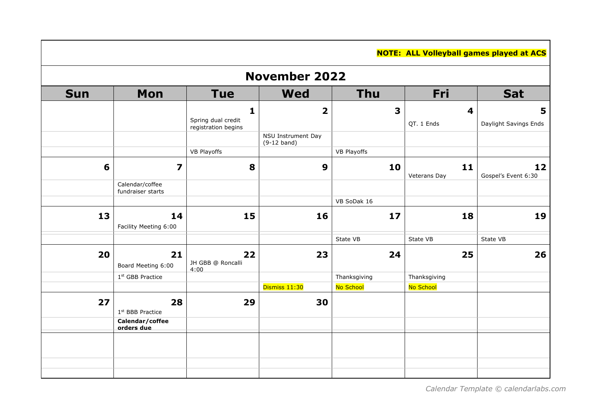|            | <b>NOTE: ALL Volleyball games played at ACS</b> |                                                           |                                     |                         |                    |                            |  |  |  |
|------------|-------------------------------------------------|-----------------------------------------------------------|-------------------------------------|-------------------------|--------------------|----------------------------|--|--|--|
|            | <b>November 2022</b>                            |                                                           |                                     |                         |                    |                            |  |  |  |
| <b>Sun</b> | Mon                                             | <b>Tue</b>                                                | <b>Wed</b>                          | <b>Thu</b>              | Fri                | <b>Sat</b>                 |  |  |  |
|            |                                                 | $\mathbf{1}$<br>Spring dual credit<br>registration begins | $\overline{\mathbf{2}}$             | $\overline{\mathbf{3}}$ | 4<br>QT. 1 Ends    | 5<br>Daylight Savings Ends |  |  |  |
|            |                                                 |                                                           | NSU Instrument Day<br>$(9-12$ band) |                         |                    |                            |  |  |  |
|            |                                                 | <b>VB Playoffs</b>                                        |                                     | <b>VB Playoffs</b>      |                    |                            |  |  |  |
| 6          | 7                                               | 8                                                         | 9                                   | 10                      | 11<br>Veterans Day | 12<br>Gospel's Event 6:30  |  |  |  |
|            | Calendar/coffee                                 |                                                           |                                     |                         |                    |                            |  |  |  |
|            | fundraiser starts                               |                                                           |                                     | VB SoDak 16             |                    |                            |  |  |  |
|            |                                                 |                                                           |                                     |                         |                    |                            |  |  |  |
| 13         | 14<br>Facility Meeting 6:00                     | 15                                                        | 16                                  | 17                      | 18                 | 19                         |  |  |  |
|            |                                                 |                                                           |                                     | State VB                | State VB           | State VB                   |  |  |  |
| 20         | 21<br>Board Meeting 6:00                        | 22<br>JH GBB @ Roncalli                                   | 23                                  | 24                      | 25                 | 26                         |  |  |  |
|            | 1st GBB Practice                                | 4:00                                                      |                                     | Thanksgiving            | Thanksgiving       |                            |  |  |  |
|            |                                                 |                                                           | Dismiss 11:30                       | No School               | No School          |                            |  |  |  |
| 27         | 28<br>1st BBB Practice                          | 29                                                        | 30                                  |                         |                    |                            |  |  |  |
|            | Calendar/coffee<br>orders due                   |                                                           |                                     |                         |                    |                            |  |  |  |
|            |                                                 |                                                           |                                     |                         |                    |                            |  |  |  |
|            |                                                 |                                                           |                                     |                         |                    |                            |  |  |  |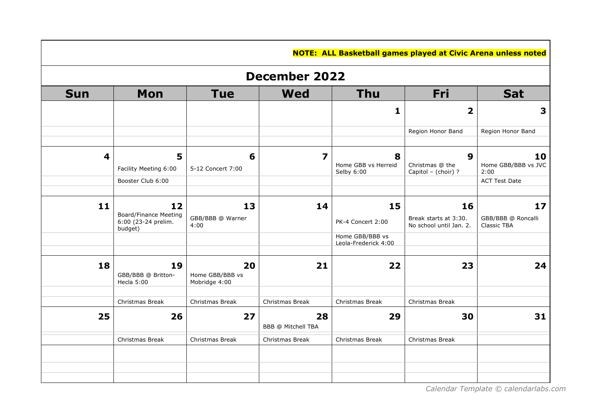|                         | <b>NOTE: ALL Basketball games played at Civic Arena unless noted</b> |                                        |                          |                                         |                                                            |                                         |  |  |  |  |
|-------------------------|----------------------------------------------------------------------|----------------------------------------|--------------------------|-----------------------------------------|------------------------------------------------------------|-----------------------------------------|--|--|--|--|
|                         | <b>December 2022</b>                                                 |                                        |                          |                                         |                                                            |                                         |  |  |  |  |
| <b>Sun</b>              | Mon                                                                  | <b>Tue</b>                             | <b>Wed</b>               | <b>Thu</b>                              | Fri                                                        | <b>Sat</b>                              |  |  |  |  |
|                         |                                                                      |                                        |                          | $\mathbf{1}$                            | $\overline{\mathbf{2}}$                                    | 3                                       |  |  |  |  |
|                         |                                                                      |                                        |                          |                                         | Region Honor Band                                          | Region Honor Band                       |  |  |  |  |
| $\overline{\mathbf{4}}$ | 5<br>Facility Meeting 6:00                                           | 6<br>5-12 Concert 7:00                 | $\overline{\mathbf{z}}$  | 8<br>Home GBB vs Herreid<br>Selby 6:00  | $\boldsymbol{9}$<br>Christmas @ the<br>Capitol - (choir) ? | 10<br>Home GBB/BBB vs JVC<br>2:00       |  |  |  |  |
|                         | Booster Club 6:00                                                    |                                        |                          |                                         |                                                            | <b>ACT Test Date</b>                    |  |  |  |  |
| 11                      | 12<br><b>Board/Finance Meeting</b><br>6:00 (23-24 prelim.            | 13<br>GBB/BBB @ Warner<br>4:00         | 14                       | 15<br>PK-4 Concert 2:00                 | 16<br>Break starts at 3:30.<br>No school until Jan. 2.     | 17<br>GBB/BBB @ Roncalli<br>Classic TBA |  |  |  |  |
|                         | budget)                                                              |                                        |                          | Home GBB/BBB vs<br>Leola-Frederick 4:00 |                                                            |                                         |  |  |  |  |
| 18                      | 19<br>GBB/BBB @ Britton-<br>Hecla 5:00                               | 20<br>Home GBB/BBB vs<br>Mobridge 4:00 | 21                       | 22                                      | 23                                                         | 24                                      |  |  |  |  |
|                         | Christmas Break                                                      | Christmas Break                        | Christmas Break          | Christmas Break                         | Christmas Break                                            |                                         |  |  |  |  |
| 25                      | 26                                                                   | 27                                     | 28<br>BBB @ Mitchell TBA | 29                                      | 30                                                         | 31                                      |  |  |  |  |
|                         | Christmas Break                                                      | Christmas Break                        | Christmas Break          | Christmas Break                         | Christmas Break                                            |                                         |  |  |  |  |
|                         |                                                                      |                                        |                          |                                         |                                                            |                                         |  |  |  |  |
|                         |                                                                      |                                        |                          |                                         |                                                            |                                         |  |  |  |  |

 *[Calendar Template](https://www.calendarlabs.com/school-calendar) © calendarlabs.com*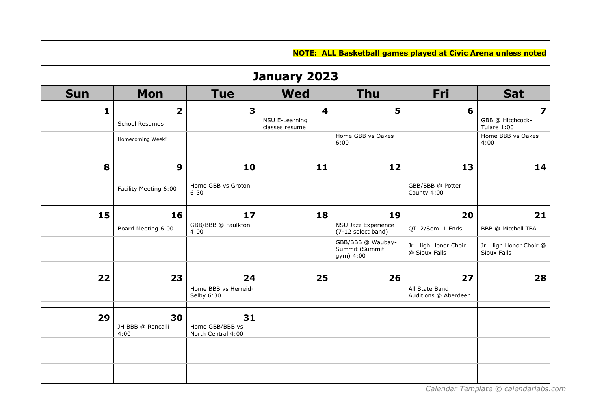|              | <b>NOTE: ALL Basketball games played at Civic Arena unless noted</b> |                                             |                                       |                                                  |                                              |                                                            |  |  |  |  |
|--------------|----------------------------------------------------------------------|---------------------------------------------|---------------------------------------|--------------------------------------------------|----------------------------------------------|------------------------------------------------------------|--|--|--|--|
|              | January 2023                                                         |                                             |                                       |                                                  |                                              |                                                            |  |  |  |  |
| <b>Sun</b>   | Mon                                                                  | <b>Tue</b>                                  | <b>Wed</b>                            | <b>Thu</b>                                       | Fri                                          | <b>Sat</b>                                                 |  |  |  |  |
| $\mathbf{1}$ | $\overline{\mathbf{2}}$<br>School Resumes                            | 3                                           | 4<br>NSU E-Learning<br>classes resume | 5                                                | 6                                            | $\overline{\mathbf{z}}$<br>GBB @ Hitchcock-<br>Tulare 1:00 |  |  |  |  |
|              | Homecoming Week!                                                     |                                             |                                       | Home GBB vs Oakes<br>6:00                        |                                              | Home BBB vs Oakes<br>4:00                                  |  |  |  |  |
| 8            | $\boldsymbol{9}$                                                     | 10                                          | 11                                    | 12                                               | 13                                           | 14                                                         |  |  |  |  |
|              | Facility Meeting 6:00                                                | Home GBB vs Groton<br>6:30                  |                                       |                                                  | GBB/BBB @ Potter<br>County 4:00              |                                                            |  |  |  |  |
| 15           | 16<br>Board Meeting 6:00                                             | 17<br>GBB/BBB @ Faulkton<br>4:00            | 18                                    | 19<br>NSU Jazz Experience<br>(7-12 select band)  | 20<br>QT. 2/Sem. 1 Ends                      | 21<br>BBB @ Mitchell TBA                                   |  |  |  |  |
|              |                                                                      |                                             |                                       | GBB/BBB @ Waubay-<br>Summit (Summit<br>gym) 4:00 | Jr. High Honor Choir<br>@ Sioux Falls        | Jr. High Honor Choir @<br>Sioux Falls                      |  |  |  |  |
| 22           | 23                                                                   | 24<br>Home BBB vs Herreid-<br>Selby 6:30    | 25                                    | 26                                               | 27<br>All State Band<br>Auditions @ Aberdeen | 28                                                         |  |  |  |  |
| 29           | 30<br>JH BBB @ Roncalli<br>4:00                                      | 31<br>Home GBB/BBB vs<br>North Central 4:00 |                                       |                                                  |                                              |                                                            |  |  |  |  |
|              |                                                                      |                                             |                                       |                                                  |                                              |                                                            |  |  |  |  |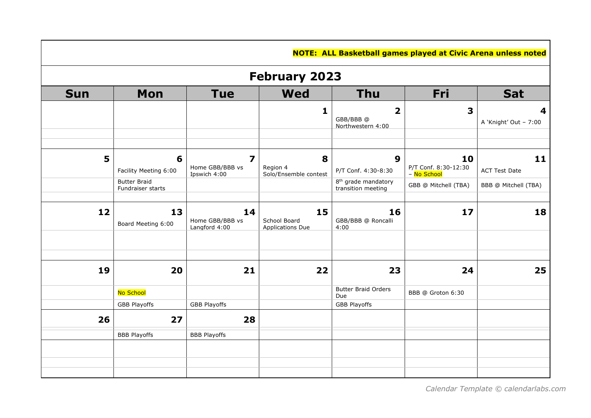|            | <b>NOTE: ALL Basketball games played at Civic Arena unless noted</b> |                                                            |                                               |                                                          |                                           |                            |  |  |  |  |
|------------|----------------------------------------------------------------------|------------------------------------------------------------|-----------------------------------------------|----------------------------------------------------------|-------------------------------------------|----------------------------|--|--|--|--|
|            | <b>February 2023</b>                                                 |                                                            |                                               |                                                          |                                           |                            |  |  |  |  |
| <b>Sun</b> | Mon                                                                  | <b>Tue</b>                                                 | <b>Wed</b>                                    | <b>Thu</b>                                               | Fri                                       | <b>Sat</b>                 |  |  |  |  |
|            |                                                                      |                                                            | $\mathbf{1}$                                  | $\overline{\mathbf{2}}$<br>GBB/BBB@<br>Northwestern 4:00 | 3                                         | 4<br>A 'Knight' Out - 7:00 |  |  |  |  |
| 5          | 6<br>Facility Meeting 6:00                                           | $\overline{\mathbf{z}}$<br>Home GBB/BBB vs<br>Ipswich 4:00 | 8<br>Region 4<br>Solo/Ensemble contest        | 9<br>P/T Conf. 4:30-8:30                                 | 10<br>P/T Conf. 8:30-12:30<br>- No School | 11<br><b>ACT Test Date</b> |  |  |  |  |
|            | <b>Butter Braid</b><br>Fundraiser starts                             |                                                            |                                               | 8 <sup>th</sup> grade mandatory<br>transition meeting    | GBB @ Mitchell (TBA)                      | BBB @ Mitchell (TBA)       |  |  |  |  |
| 12         | 13<br>Board Meeting 6:00                                             | 14<br>Home GBB/BBB vs<br>Langford 4:00                     | 15<br>School Board<br><b>Applications Due</b> | 16<br>GBB/BBB @ Roncalli<br>4:00                         | 17                                        | 18                         |  |  |  |  |
| 19         | 20                                                                   | 21                                                         | 22                                            | 23                                                       | 24                                        | 25                         |  |  |  |  |
|            | No School                                                            |                                                            |                                               | <b>Butter Braid Orders</b><br>Due                        | BBB @ Groton 6:30                         |                            |  |  |  |  |
|            | <b>GBB Playoffs</b>                                                  | <b>GBB Playoffs</b>                                        |                                               | <b>GBB Playoffs</b>                                      |                                           |                            |  |  |  |  |
| 26         | 27                                                                   | 28                                                         |                                               |                                                          |                                           |                            |  |  |  |  |
|            | <b>BBB Playoffs</b>                                                  | <b>BBB Playoffs</b>                                        |                                               |                                                          |                                           |                            |  |  |  |  |
|            |                                                                      |                                                            |                                               |                                                          |                                           |                            |  |  |  |  |
|            |                                                                      |                                                            |                                               |                                                          |                                           |                            |  |  |  |  |

 *[Calendar Template](https://www.calendarlabs.com/school-calendar) © calendarlabs.com*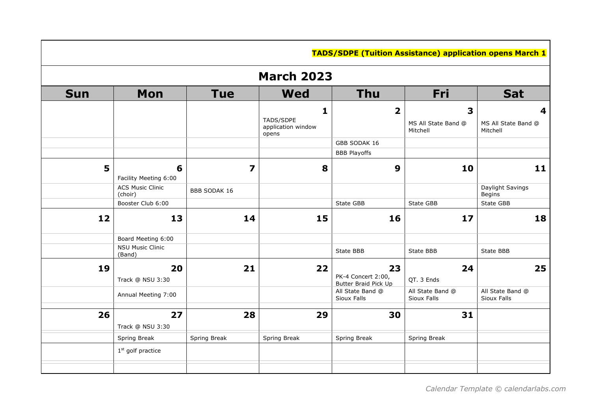|            |                                    |                     |                                               | <b>TADS/SDPE (Tuition Assistance) application opens March 1</b> |                                      |                                      |  |  |  |
|------------|------------------------------------|---------------------|-----------------------------------------------|-----------------------------------------------------------------|--------------------------------------|--------------------------------------|--|--|--|
|            | <b>March 2023</b>                  |                     |                                               |                                                                 |                                      |                                      |  |  |  |
| <b>Sun</b> | <b>Mon</b>                         | <b>Tue</b>          | <b>Wed</b>                                    | <b>Thu</b>                                                      | Fri                                  | <b>Sat</b>                           |  |  |  |
|            |                                    |                     | 1<br>TADS/SDPE<br>application window<br>opens | $\overline{\mathbf{2}}$                                         | 3<br>MS All State Band @<br>Mitchell | 4<br>MS All State Band @<br>Mitchell |  |  |  |
|            |                                    |                     |                                               | GBB SODAK 16                                                    |                                      |                                      |  |  |  |
|            |                                    |                     |                                               | <b>BBB Playoffs</b>                                             |                                      |                                      |  |  |  |
| 5          | 6<br>Facility Meeting 6:00         | 7                   | 8                                             | 9                                                               | 10                                   | 11                                   |  |  |  |
|            | <b>ACS Music Clinic</b><br>(choir) | <b>BBB SODAK 16</b> |                                               |                                                                 |                                      | Daylight Savings<br><b>Begins</b>    |  |  |  |
|            | Booster Club 6:00                  |                     |                                               | State GBB                                                       | State GBB                            | State GBB                            |  |  |  |
| 12         | 13                                 | 14                  | 15                                            | 16                                                              | 17                                   | 18                                   |  |  |  |
|            | Board Meeting 6:00                 |                     |                                               |                                                                 |                                      |                                      |  |  |  |
|            | <b>NSU Music Clinic</b><br>(Band)  |                     |                                               | State BBB                                                       | State BBB                            | State BBB                            |  |  |  |
| 19         | 20<br>Track @ NSU 3:30             | 21                  | 22                                            | 23<br>PK-4 Concert 2:00,<br>Butter Braid Pick Up                | 24<br>QT. 3 Ends                     | 25                                   |  |  |  |
|            | Annual Meeting 7:00                |                     |                                               | All State Band @<br>Sioux Falls                                 | All State Band @<br>Sioux Falls      | All State Band @<br>Sioux Falls      |  |  |  |
| 26         | 27<br>Track @ NSU 3:30             | 28                  | 29                                            | 30                                                              | 31                                   |                                      |  |  |  |
|            | Spring Break                       | Spring Break        | Spring Break                                  | Spring Break                                                    | Spring Break                         |                                      |  |  |  |
|            | $1st$ golf practice                |                     |                                               |                                                                 |                                      |                                      |  |  |  |
|            |                                    |                     |                                               |                                                                 |                                      |                                      |  |  |  |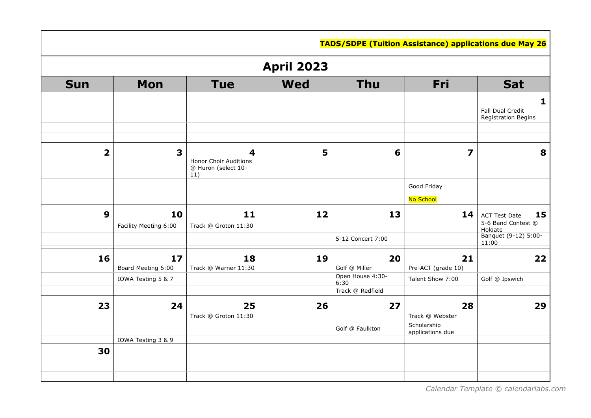|                         |                             |                                                          |            | <b>TADS/SDPE (Tuition Assistance) applications due May 26</b> |                                 |                                                                                     |  |  |  |
|-------------------------|-----------------------------|----------------------------------------------------------|------------|---------------------------------------------------------------|---------------------------------|-------------------------------------------------------------------------------------|--|--|--|
|                         | <b>April 2023</b>           |                                                          |            |                                                               |                                 |                                                                                     |  |  |  |
| <b>Sun</b>              | <b>Mon</b>                  | <b>Tue</b>                                               | <b>Wed</b> | <b>Thu</b>                                                    | Fri                             | <b>Sat</b>                                                                          |  |  |  |
|                         |                             |                                                          |            |                                                               |                                 | 1<br>Fall Dual Credit<br>Registration Begins                                        |  |  |  |
| $\overline{\mathbf{2}}$ | 3                           | 4<br>Honor Choir Auditions<br>@ Huron (select 10-<br>11) | 5          | 6                                                             | 7                               | 8                                                                                   |  |  |  |
|                         |                             |                                                          |            |                                                               | Good Friday                     |                                                                                     |  |  |  |
|                         |                             |                                                          |            |                                                               | No School                       |                                                                                     |  |  |  |
| $\boldsymbol{9}$        | 10<br>Facility Meeting 6:00 | 11<br>Track @ Groton 11:30                               | 12         | 13<br>5-12 Concert 7:00                                       | 14                              | 15<br><b>ACT Test Date</b><br>5-6 Band Contest @<br>Holgate<br>Banquet (9-12) 5:00- |  |  |  |
|                         |                             |                                                          |            |                                                               |                                 | 11:00                                                                               |  |  |  |
| 16                      | 17<br>Board Meeting 6:00    | 18<br>Track @ Warner 11:30                               | 19         | 20<br>Golf @ Miller                                           | 21<br>Pre-ACT (grade 10)        | 22                                                                                  |  |  |  |
|                         | IOWA Testing 5 & 7          |                                                          |            | Open House 4:30-<br>6:30                                      | Talent Show 7:00                | Golf @ Ipswich                                                                      |  |  |  |
|                         |                             |                                                          |            | Track @ Redfield                                              |                                 |                                                                                     |  |  |  |
| 23                      | 24                          | 25<br>Track @ Groton 11:30                               | 26         | 27                                                            | 28<br>Track @ Webster           | 29                                                                                  |  |  |  |
|                         | IOWA Testing 3 & 9          |                                                          |            | Golf @ Faulkton                                               | Scholarship<br>applications due |                                                                                     |  |  |  |
| 30                      |                             |                                                          |            |                                                               |                                 |                                                                                     |  |  |  |
|                         |                             |                                                          |            |                                                               |                                 |                                                                                     |  |  |  |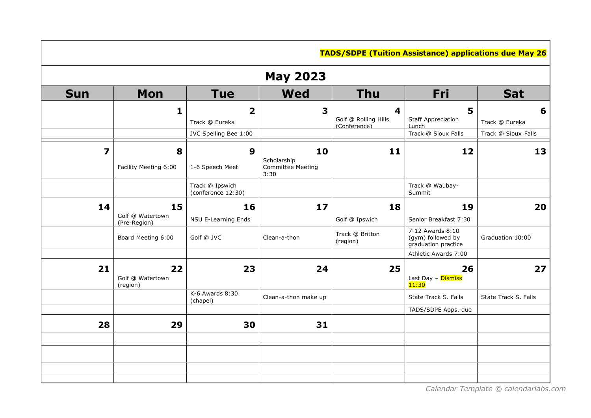|            | <b>TADS/SDPE (Tuition Assistance) applications due May 26</b> |                                       |                                                       |                                                                 |                                                              |                      |  |  |  |  |
|------------|---------------------------------------------------------------|---------------------------------------|-------------------------------------------------------|-----------------------------------------------------------------|--------------------------------------------------------------|----------------------|--|--|--|--|
|            | <b>May 2023</b>                                               |                                       |                                                       |                                                                 |                                                              |                      |  |  |  |  |
| <b>Sun</b> | <b>Mon</b>                                                    | <b>Tue</b>                            | <b>Wed</b>                                            | <b>Thu</b>                                                      | Fri                                                          | <b>Sat</b>           |  |  |  |  |
|            | $\mathbf{1}$                                                  | 2<br>Track @ Eureka                   | 3                                                     | $\overline{\mathbf{4}}$<br>Golf @ Rolling Hills<br>(Conference) | 5<br><b>Staff Appreciation</b><br>Lunch                      | 6<br>Track @ Eureka  |  |  |  |  |
|            |                                                               | JVC Spelling Bee 1:00                 |                                                       |                                                                 | Track @ Sioux Falls                                          | Track @ Sioux Falls  |  |  |  |  |
| 7          | 8<br>Facility Meeting 6:00                                    | 9<br>1-6 Speech Meet                  | 10<br>Scholarship<br><b>Committee Meeting</b><br>3:30 | 11                                                              | 12                                                           | 13                   |  |  |  |  |
|            |                                                               | Track @ Ipswich<br>(conference 12:30) |                                                       |                                                                 | Track @ Waubay-<br>Summit                                    |                      |  |  |  |  |
| 14         | 15<br>Golf @ Watertown<br>(Pre-Region)                        | 16<br>NSU E-Learning Ends             | 17                                                    | 18<br>Golf @ Ipswich                                            | 19<br>Senior Breakfast 7:30                                  | 20                   |  |  |  |  |
|            | Board Meeting 6:00                                            | Golf @ JVC                            | Clean-a-thon                                          | Track @ Britton<br>(region)                                     | 7-12 Awards 8:10<br>(gym) followed by<br>graduation practice | Graduation 10:00     |  |  |  |  |
|            |                                                               |                                       |                                                       |                                                                 | Athletic Awards 7:00                                         |                      |  |  |  |  |
| 21         | 22<br>Golf @ Watertown<br>(region)                            | 23                                    | 24                                                    | 25                                                              | 26<br>Last Day - Dismiss<br>11:30                            | 27                   |  |  |  |  |
|            |                                                               | $K-6$ Awards $8:30$<br>(chapel)       | Clean-a-thon make up                                  |                                                                 | State Track S. Falls                                         | State Track S. Falls |  |  |  |  |
|            |                                                               |                                       |                                                       |                                                                 | TADS/SDPE Apps. due                                          |                      |  |  |  |  |
| 28         | 29                                                            | 30                                    | 31                                                    |                                                                 |                                                              |                      |  |  |  |  |
|            |                                                               |                                       |                                                       |                                                                 |                                                              |                      |  |  |  |  |
|            |                                                               |                                       |                                                       |                                                                 |                                                              |                      |  |  |  |  |

 *[Calendar Template](https://www.calendarlabs.com/school-calendar) © calendarlabs.com*